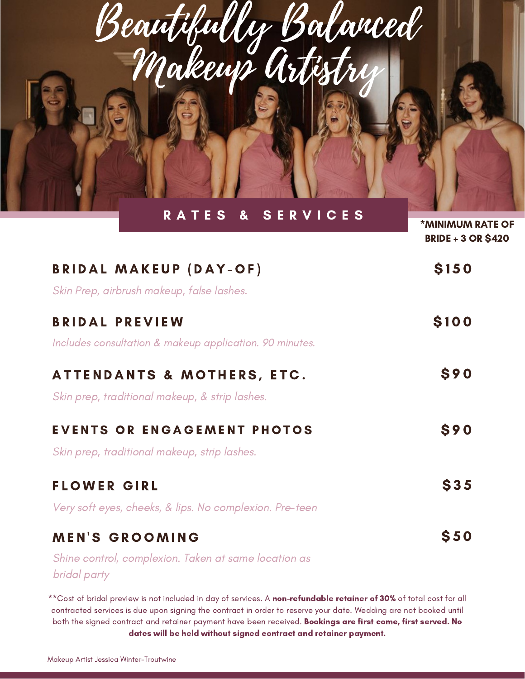| Beautifully Balanced<br>RATES & SERVICES                                           |                                                      |
|------------------------------------------------------------------------------------|------------------------------------------------------|
|                                                                                    | <b>*MINIMUM RATE OF</b><br><b>BRIDE + 3 OR \$420</b> |
| <b>BRIDAL MAKEUP (DAY-OF)</b><br>Skin Prep, airbrush makeup, false lashes.         | <b>\$150</b>                                         |
| <b>BRIDAL PREVIEW</b><br>Includes consultation & makeup application. 90 minutes.   | \$100                                                |
| ATTENDANTS & MOTHERS, ETC.<br>Skin prep, traditional makeup, & strip lashes.       | <b>S90</b>                                           |
| <b>EVENTS OR ENGAGEMENT PHOTOS</b><br>Skin prep, traditional makeup, strip lashes. | \$90                                                 |
| <b>FLOWER GIRL</b>                                                                 | \$35                                                 |

Very soft eyes, cheeks, & lips. No complexion. Pre-teen

## **MEN'S GROOMING**

Shine control, complexion. Taken at same location as bridal party

\*\*Cost of bridal preview is not included in day of services. A non-refundable retainer of 30% of total cost for all contracted services is due upon signing the contract in order to reserve your date. Wedding are not booked until both the signed contract and retainer payment have been received. Bookings are first come, first served. No dates will be held without signed contract and retainer payment.

\$ 5 0